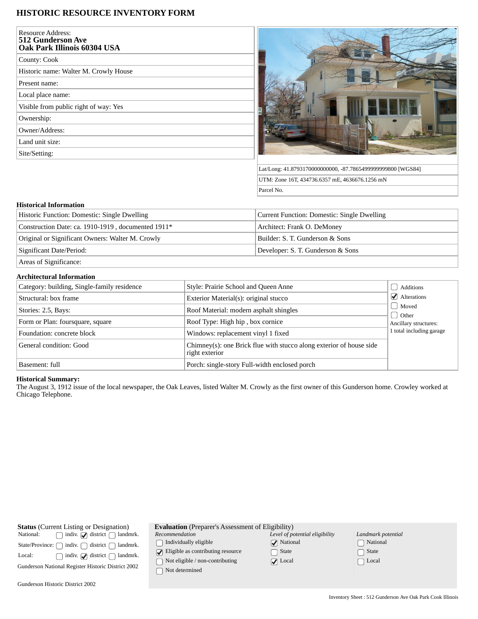# **HISTORIC RESOURCE INVENTORY FORM**

| <b>Resource Address:</b><br><b>512 Gunderson Ave</b><br>Oak Park Illinois 60304 USA |
|-------------------------------------------------------------------------------------|
| County: Cook                                                                        |
| Historic name: Walter M. Crowly House                                               |
| Present name:                                                                       |
| Local place name:                                                                   |
| Visible from public right of way: Yes                                               |
| Ownership:                                                                          |
| Owner/Address:                                                                      |
| Land unit size:                                                                     |
| Site/Setting:                                                                       |
|                                                                                     |



Lat/Long: 41.8793170000000000, -87.7865499999999800 [WGS84] UTM: Zone 16T, 434736.6357 mE, 4636676.1256 mN Parcel No.

## **Historical Information**

| Historic Function: Domestic: Single Dwelling       | Current Function: Domestic: Single Dwelling |  |
|----------------------------------------------------|---------------------------------------------|--|
| Construction Date: ca. 1910-1919, documented 1911* | Architect: Frank O. DeMoney                 |  |
| Original or Significant Owners: Walter M. Crowly   | Builder: S. T. Gunderson & Sons             |  |
| Significant Date/Period:                           | Developer: S. T. Gunderson & Sons           |  |
|                                                    |                                             |  |

Areas of Significance:

#### **Architectural Information**

| Category: building, Single-family residence | Style: Prairie School and Queen Anne                                                  | Additions                             |
|---------------------------------------------|---------------------------------------------------------------------------------------|---------------------------------------|
| Structural: box frame                       | Exterior Material(s): original stucco                                                 | $\blacktriangleright$ Alterations     |
| Stories: 2.5, Bays:                         | Roof Material: modern asphalt shingles                                                | Moved                                 |
| Form or Plan: foursquare, square            | Roof Type: High hip, box cornice                                                      | <b>Other</b><br>Ancillary structures: |
| Foundation: concrete block                  | Windows: replacement vinyl 1 fixed                                                    | 1 total including garage              |
| General condition: Good                     | Chimney(s): one Brick flue with stucco along exterior of house side<br>right exterior |                                       |
| Basement: full                              | Porch: single-story Full-width enclosed porch                                         |                                       |

### **Historical Summary:**

The August 3, 1912 issue of the local newspaper, the Oak Leaves, listed Walter M. Crowly as the first owner of this Gunderson home. Crowley worked at Chicago Telephone.

| <b>Status</b> (Current Listing or Designation)     |                                                                        |  |  |  |
|----------------------------------------------------|------------------------------------------------------------------------|--|--|--|
| National:                                          | $\Box$ indiv. $\Box$ district $\Box$ landmrk.                          |  |  |  |
|                                                    | State/Province: $\bigcap$ indiv. $\bigcap$ district $\bigcap$ landmrk. |  |  |  |
| Local:                                             | $\Box$ indiv. $\Box$ district $\Box$ landmrk.                          |  |  |  |
| Gunderson National Register Historic District 2002 |                                                                        |  |  |  |

**Evaluation** (Preparer's Assessment of Eligibility)

*Recommendation*  $\hfill\textstyle\bigcap\textstyle\textstyle\bigcap\textstyle\textstyle\bigcap\textstyle\textstyle\textstyle\bigcap\textstyle\textstyle\textstyle\bigcup\textstyle\textstyle\bigcap\textstyle\textstyle\bigcap\textstyle\big$ 

 $\bigcirc$  Eligible as contributing resource  $\hfill\textcolor{red}{\bigcirc}$  Not eligible / non-contributing

 $\hfill\Box$ <br> <br> Not determined

| Level of potential eligibility |
|--------------------------------|
| $\sqrt{\phantom{a}}$ National  |
| $\Box$ State                   |
| $\sqrt{\phantom{a}}$ Local     |

 $\textcolor{red}{\blacktriangledown}$  $\Box$  $\bigcirc$  *Landmark potential* National  $\Box$  State  $\Box$  Local